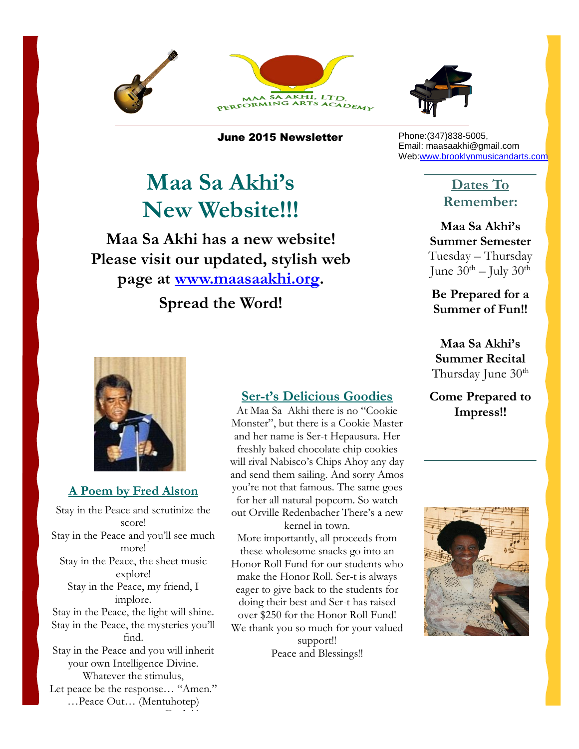



June 2015 Newsletter

# **Maa Sa Akhi's New Website!!!**

 **Please visit our updated, stylish web Maa Sa Akhi has a new website! page at [www.maasaakhi.org.](http://www.maasaakhi.org/)**

**Spread the Word!**

#### Phone:(347)838-5005, Email: maasaakhi@gmail.com We[b:www.brooklynmusicandarts.com](http://www.brooklynmusicandarts.com/)

### **Dates To Remember:**

**Maa Sa Akhi's Summer Semester** Tuesday – Thursday June  $30^{th}$  – July  $30^{th}$ 

**Be Prepared for a Summer of Fun!!**

**Maa Sa Akhi's Summer Recital** Thursday June 30<sup>th</sup>

**Come Prepared to Impress!!**



### **A Poem by Fred Alston**

Stay in the Peace and scrutinize the score! Stay in the Peace and you'll see much more! Stay in the Peace, the sheet music explore! Stay in the Peace, my friend, I implore. Stay in the Peace, the light will shine. Stay in the Peace, the mysteries you'll find. Stay in the Peace and you will inherit your own Intelligence Divine. Whatever the stimulus, Let peace be the response… "Amen." …Peace Out… (Mentuhotep)

– Fred Alston

#### **Ser-t's Delicious Goodies**

At Maa Sa Akhi there is no "Cookie Monster", but there is a Cookie Master and her name is Ser-t Hepausura. Her freshly baked chocolate chip cookies will rival Nabisco's Chips Ahoy any day and send them sailing. And sorry Amos you're not that famous. The same goes for her all natural popcorn. So watch out Orville Redenbacher There's a new kernel in town.

More importantly, all proceeds from these wholesome snacks go into an Honor Roll Fund for our students who make the Honor Roll. Ser-t is always eager to give back to the students for doing their best and Ser-t has raised over \$250 for the Honor Roll Fund! We thank you so much for your valued

> support!! Peace and Blessings!!

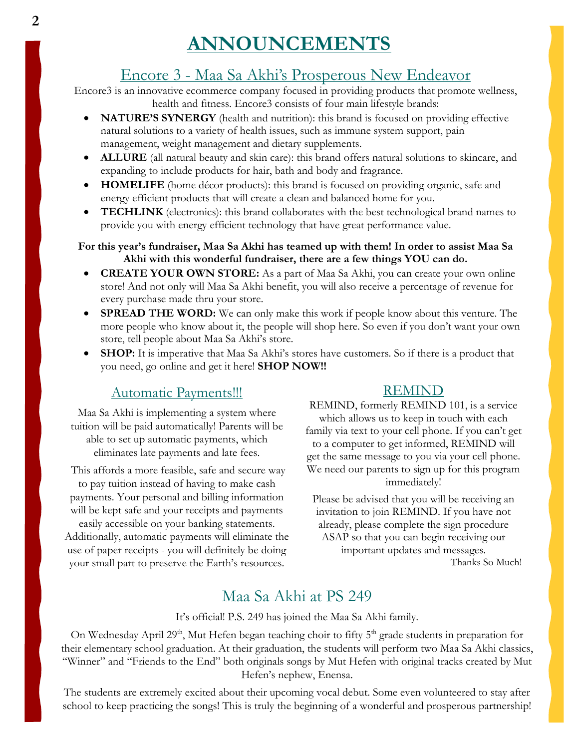# **ANNOUNCEMENTS**

## Encore 3 - Maa Sa Akhi's Prosperous New Endeavor

Encore3 is an innovative ecommerce company focused in providing products that promote wellness, health and fitness. Encore3 consists of four main lifestyle brands:

- **NATURE'S SYNERGY** (health and nutrition): this brand is focused on providing effective natural solutions to a variety of health issues, such as immune system support, pain management, weight management and dietary supplements.
- **ALLURE** (all natural beauty and skin care): this brand offers natural solutions to skincare, and expanding to include products for hair, bath and body and fragrance.
- **HOMELIFE** (home décor products): this brand is focused on providing organic, safe and energy efficient products that will create a clean and balanced home for you.
- **TECHLINK** (electronics): this brand collaborates with the best technological brand names to provide you with energy efficient technology that have great performance value.

#### **For this year's fundraiser, Maa Sa Akhi has teamed up with them! In order to assist Maa Sa Akhi with this wonderful fundraiser, there are a few things YOU can do.**

- **CREATE YOUR OWN STORE:** As a part of Maa Sa Akhi, you can create your own online store! And not only will Maa Sa Akhi benefit, you will also receive a percentage of revenue for every purchase made thru your store.
- **SPREAD THE WORD:** We can only make this work if people know about this venture. The more people who know about it, the people will shop here. So even if you don't want your own store, tell people about Maa Sa Akhi's store.
- **SHOP:** It is imperative that Maa Sa Akhi's stores have customers. So if there is a product that you need, go online and get it here! **SHOP NOW!!**

#### Automatic Payments!!!

Maa Sa Akhi is implementing a system where tuition will be paid automatically! Parents will be able to set up automatic payments, which eliminates late payments and late fees.

This affords a more feasible, safe and secure way to pay tuition instead of having to make cash payments. Your personal and billing information will be kept safe and your receipts and payments easily accessible on your banking statements.

Additionally, automatic payments will eliminate the use of paper receipts - you will definitely be doing your small part to preserve the Earth's resources.

#### REMIND

REMIND, formerly REMIND 101, is a service which allows us to keep in touch with each family via text to your cell phone. If you can't get to a computer to get informed, REMIND will get the same message to you via your cell phone.

We need our parents to sign up for this program immediately!

Please be advised that you will be receiving an invitation to join REMIND. If you have not already, please complete the sign procedure ASAP so that you can begin receiving our important updates and messages. Thanks So Much!

# Maa Sa Akhi at PS 249

It's official! P.S. 249 has joined the Maa Sa Akhi family.

On Wednesday April 29<sup>th</sup>, Mut Hefen began teaching choir to fifty 5<sup>th</sup> grade students in preparation for their elementary school graduation. At their graduation, the students will perform two Maa Sa Akhi classics, "Winner" and "Friends to the End" both originals songs by Mut Hefen with original tracks created by Mut Hefen's nephew, Enensa.

The students are extremely excited about their upcoming vocal debut. Some even volunteered to stay after school to keep practicing the songs! This is truly the beginning of a wonderful and prosperous partnership!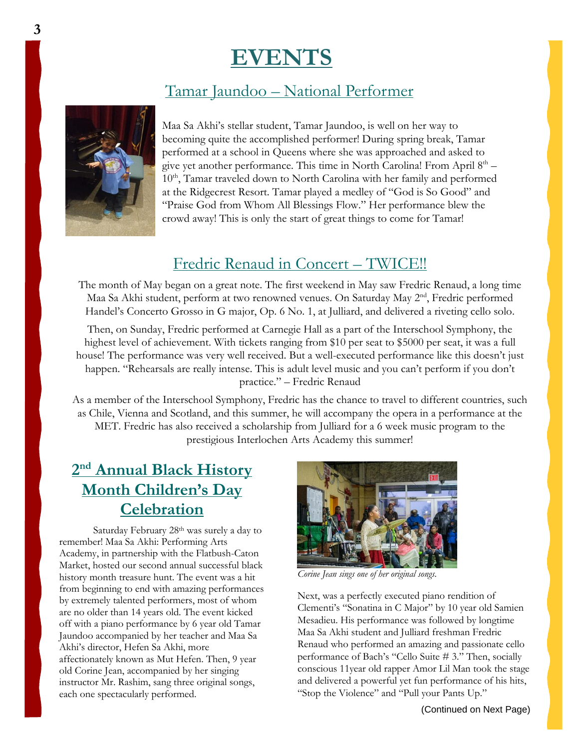# **EVENTS**

# Tamar Jaundoo – National Performer



Maa Sa Akhi's stellar student, Tamar Jaundoo, is well on her way to becoming quite the accomplished performer! During spring break, Tamar performed at a school in Queens where she was approached and asked to give yet another performance. This time in North Carolina! From April 8<sup>th</sup> – 10<sup>th</sup>, Tamar traveled down to North Carolina with her family and performed at the Ridgecrest Resort. Tamar played a medley of "God is So Good" and "Praise God from Whom All Blessings Flow." Her performance blew the crowd away! This is only the start of great things to come for Tamar!

## Fredric Renaud in Concert – TWICE!!

The month of May began on a great note. The first weekend in May saw Fredric Renaud, a long time Maa Sa Akhi student, perform at two renowned venues. On Saturday May 2<sup>nd</sup>, Fredric performed Handel's Concerto Grosso in G major, Op. 6 No. 1, at Julliard, and delivered a riveting cello solo.

Then, on Sunday, Fredric performed at Carnegie Hall as a part of the Interschool Symphony, the highest level of achievement. With tickets ranging from \$10 per seat to \$5000 per seat, it was a full house! The performance was very well received. But a well-executed performance like this doesn't just happen. "Rehearsals are really intense. This is adult level music and you can't perform if you don't practice." – Fredric Renaud

As a member of the Interschool Symphony, Fredric has the chance to travel to different countries, such as Chile, Vienna and Scotland, and this summer, he will accompany the opera in a performance at the MET. Fredric has also received a scholarship from Julliard for a 6 week music program to the prestigious Interlochen Arts Academy this summer!

# **2 nd Annual Black History Month Children's Day Celebration**

Saturday February 28th was surely a day to remember! Maa Sa Akhi: Performing Arts Academy, in partnership with the Flatbush-Caton Market, hosted our second annual successful black history month treasure hunt. The event was a hit from beginning to end with amazing performances by extremely talented performers, most of whom are no older than 14 years old. The event kicked off with a piano performance by 6 year old Tamar Jaundoo accompanied by her teacher and Maa Sa Akhi's director, Hefen Sa Akhi, more affectionately known as Mut Hefen. Then, 9 year old Corine Jean, accompanied by her singing instructor Mr. Rashim, sang three original songs, each one spectacularly performed.



*Corine Jean sings one of her original songs.*

Next, was a perfectly executed piano rendition of Clementi's "Sonatina in C Major" by 10 year old Samien Mesadieu. His performance was followed by longtime Maa Sa Akhi student and Julliard freshman Fredric Renaud who performed an amazing and passionate cello performance of Bach's "Cello Suite # 3." Then, socially conscious 11year old rapper Amor Lil Man took the stage and delivered a powerful yet fun performance of his hits, "Stop the Violence" and "Pull your Pants Up."